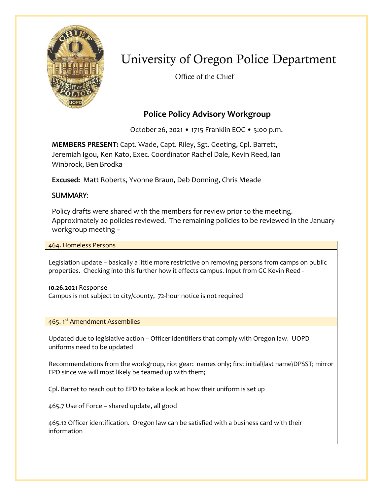

# University of Oregon Police Department

Office of the Chief

## **Police Policy Advisory Workgroup**

October 26, 2021 • 1715 Franklin EOC • 5:00 p.m.

**MEMBERS PRESENT:** Capt. Wade, Capt. Riley, Sgt. Geeting, Cpl. Barrett, Jeremiah Igou, Ken Kato, Exec. Coordinator Rachel Dale, Kevin Reed, Ian Winbrock, Ben Brodka

**Excused:** Matt Roberts, Yvonne Braun, Deb Donning, Chris Meade

### SUMMARY:

Policy drafts were shared with the members for review prior to the meeting. Approximately 20 policies reviewed. The remaining policies to be reviewed in the January workgroup meeting –

464. Homeless Persons

Legislation update – basically a little more restrictive on removing persons from camps on public properties. Checking into this further how it effects campus. Input from GC Kevin Reed -

**10.26.2021** Response Campus is not subject to city/county, 72-hour notice is not required

465. 1st Amendment Assemblies

Updated due to legislative action – Officer identifiers that comply with Oregon law. UOPD uniforms need to be updated

Recommendations from the workgroup, riot gear: names only; first initial\last name\DPSST; mirror EPD since we will most likely be teamed up with them;

Cpl. Barret to reach out to EPD to take a look at how their uniform is set up

465.7 Use of Force – shared update, all good

465.12 Officer identification. Oregon law can be satisfied with a business card with their information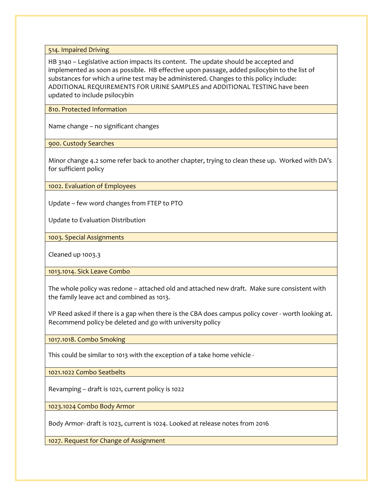514. Impaired Driving

HB 3140 – Legislative action impacts its content. The update should be accepted and implemented as soon as possible. HB effective upon passage, added psilocybin to the list of substances for which a urine test may be administered. Changes to this policy include: ADDITIONAL REQUIREMENTS FOR URINE SAMPLES and ADDITIONAL TESTING have been updated to include psilocybin

810. Protected Information

Name change – no significant changes

900. Custody Searches

Minor change 4.2 some refer back to another chapter, trying to clean these up. Worked with DA's for sufficient policy

1002. Evaluation of Employees

Update – few word changes from FTEP to PTO

Update to Evaluation Distribution

1003. Special Assignments

Cleaned up 1003.3

1013.1014. Sick Leave Combo

The whole policy was redone – attached old and attached new draft. Make sure consistent with the family leave act and combined as 1013.

VP Reed asked if there is a gap when there is the CBA does campus policy cover - worth looking at. Recommend policy be deleted and go with university policy

1017.1018. Combo Smoking

This could be similar to 1013 with the exception of a take home vehicle -

1021.1022 Combo Seatbelts

Revamping – draft is 1021, current policy is 1022

1023.1024 Combo Body Armor

Body Armor- draft is 1023, current is 1024. Looked at release notes from 2016

1027. Request for Change of Assignment